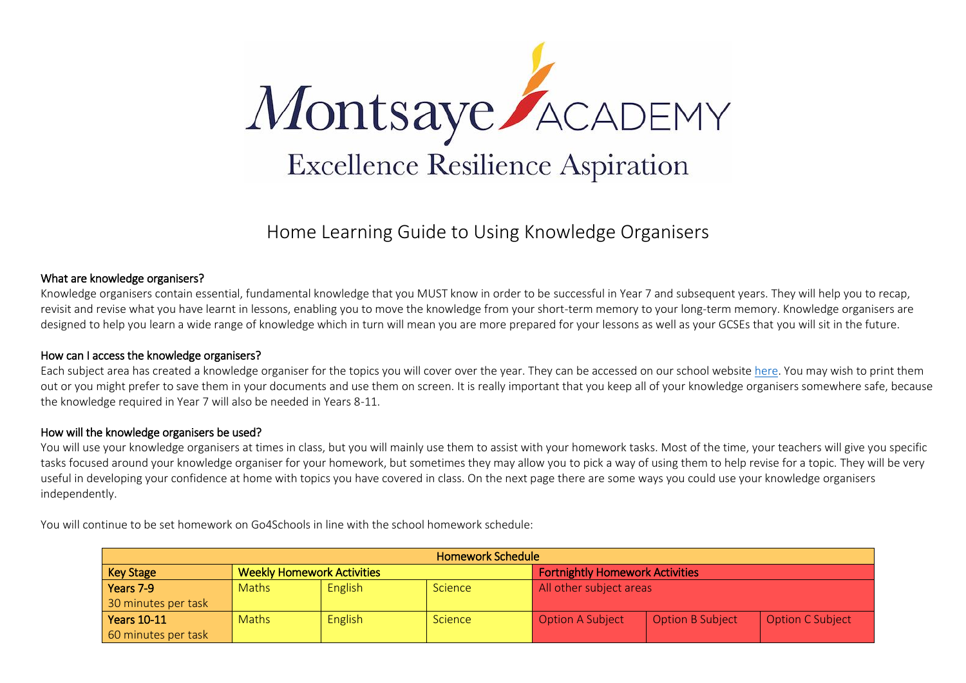

### Home Learning Guide to Using Knowledge Organisers

#### What are knowledge organisers?

Knowledge organisers contain essential, fundamental knowledge that you MUST know in order to be successful in Year 7 and subsequent years. They will help you to recap, revisit and revise what you have learnt in lessons, enabling you to move the knowledge from your short-term memory to your long-term memory. Knowledge organisers are designed to help you learn a wide range of knowledge which in turn will mean you are more prepared for your lessons as well as your GCSEs that you will sit in the future.

#### How can I access the knowledge organisers?

Each subject area has created a knowledge organiser for the topics you will cover over the year. They can be accessed on our school websit[e here.](https://www.montsaye.northants.sch.uk/students/homework/knowledge-organisers/) You may wish to print them out or you might prefer to save them in your documents and use them on screen. It is really important that you keep all of your knowledge organisers somewhere safe, because the knowledge required in Year 7 will also be needed in Years 8-11.

#### How will the knowledge organisers be used?

You will use your knowledge organisers at times in class, but you will mainly use them to assist with your homework tasks. Most of the time, your teachers will give you specific tasks focused around your knowledge organiser for your homework, but sometimes they may allow you to pick a way of using them to help revise for a topic. They will be very useful in developing your confidence at home with topics you have covered in class. On the next page there are some ways you could use your knowledge organisers independently.

| <b>Homework Schedule</b> |                                   |                |                |                                        |                         |                         |  |  |  |
|--------------------------|-----------------------------------|----------------|----------------|----------------------------------------|-------------------------|-------------------------|--|--|--|
| <b>Key Stage</b>         | <b>Weekly Homework Activities</b> |                |                | <b>Fortnightly Homework Activities</b> |                         |                         |  |  |  |
| Years 7-9                | <b>Maths</b>                      | <b>English</b> | <b>Science</b> | All other subject areas                |                         |                         |  |  |  |
| 30 minutes per task      |                                   |                |                |                                        |                         |                         |  |  |  |
| <b>Years 10-11</b>       | <b>Maths</b>                      | <b>English</b> | Science        | <b>Option A Subject</b>                | <b>Option B Subject</b> | <b>Option C Subject</b> |  |  |  |
| 60 minutes per task      |                                   |                |                |                                        |                         |                         |  |  |  |

You will continue to be set homework on Go4Schools in line with the school homework schedule: